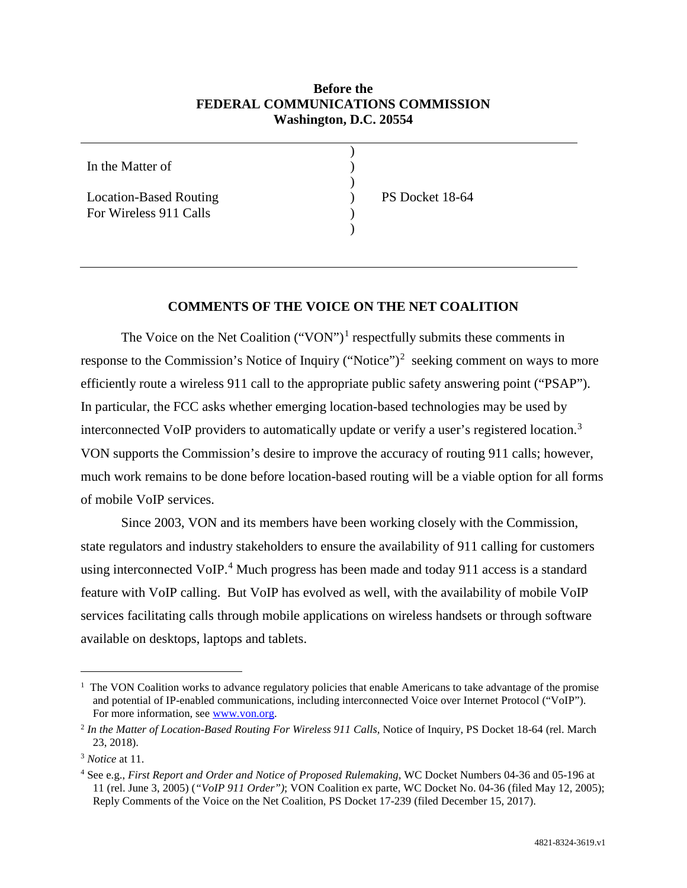## **Before the FEDERAL COMMUNICATIONS COMMISSION Washington, D.C. 20554**

) ) )

> ) )

In the Matter of

Location-Based Routing For Wireless 911 Calls

PS Docket 18-64

## **COMMENTS OF THE VOICE ON THE NET COALITION**

The Voice on the Net Coalition ("VON")<sup>1</sup> respectfully submits these comments in response to the Commission's Notice of Inquiry ("Notice")<sup>2</sup> seeking comment on ways to more efficiently route a wireless 911 call to the appropriate public safety answering point ("PSAP"). In particular, the FCC asks whether emerging location-based technologies may be used by interconnected VoIP providers to automatically update or verify a user's registered location.<sup>3</sup> VON supports the Commission's desire to improve the accuracy of routing 911 calls; however, much work remains to be done before location-based routing will be a viable option for all forms of mobile VoIP services.

Since 2003, VON and its members have been working closely with the Commission, state regulators and industry stakeholders to ensure the availability of 911 calling for customers using interconnected VoIP. <sup>4</sup> Much progress has been made and today 911 access is a standard feature with VoIP calling. But VoIP has evolved as well, with the availability of mobile VoIP services facilitating calls through mobile applications on wireless handsets or through software available on desktops, laptops and tablets.

 $\overline{1}$  The VON Coalition works to advance regulatory policies that enable Americans to take advantage of the promise and potential of IP-enabled communications, including interconnected Voice over Internet Protocol ("VoIP"). For more information, see www.von.org.

<sup>2</sup> *In the Matter of Location-Based Routing For Wireless 911 Calls,* Notice of Inquiry, PS Docket 18-64 (rel. March 23, 2018).

<sup>3</sup> *Notice* at 11.

<sup>4</sup> See e.g., *First Report and Order and Notice of Proposed Rulemaking,* WC Docket Numbers 04-36 and 05-196 at 11 (rel. June 3, 2005) (*"VoIP 911 Order")*; VON Coalition ex parte, WC Docket No. 04-36 (filed May 12, 2005); Reply Comments of the Voice on the Net Coalition, PS Docket 17-239 (filed December 15, 2017).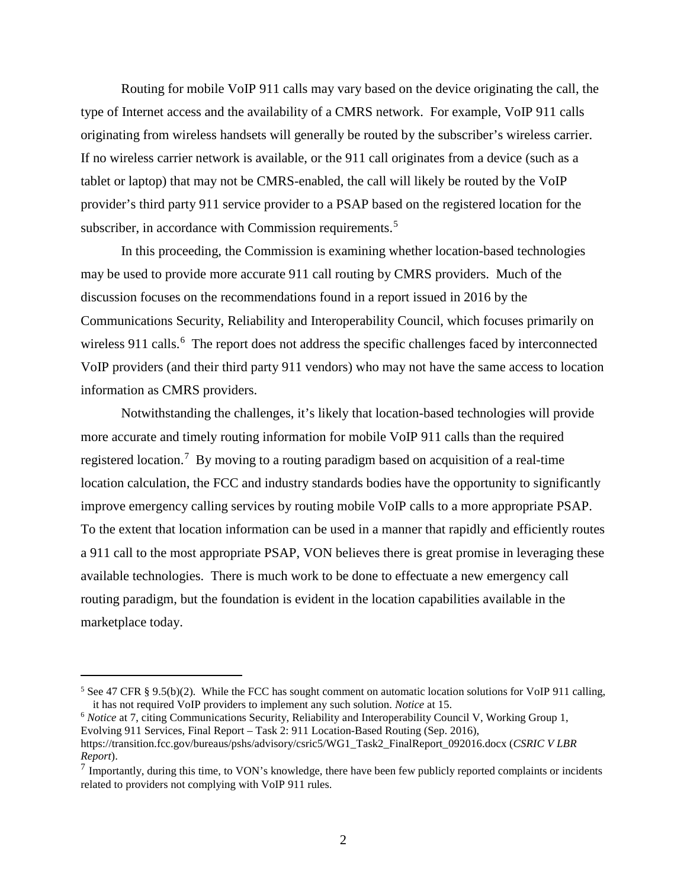Routing for mobile VoIP 911 calls may vary based on the device originating the call, the type of Internet access and the availability of a CMRS network. For example, VoIP 911 calls originating from wireless handsets will generally be routed by the subscriber's wireless carrier. If no wireless carrier network is available, or the 911 call originates from a device (such as a tablet or laptop) that may not be CMRS-enabled, the call will likely be routed by the VoIP provider's third party 911 service provider to a PSAP based on the registered location for the subscriber, in accordance with Commission requirements.<sup>5</sup>

In this proceeding, the Commission is examining whether location-based technologies may be used to provide more accurate 911 call routing by CMRS providers. Much of the discussion focuses on the recommendations found in a report issued in 2016 by the Communications Security, Reliability and Interoperability Council, which focuses primarily on wireless 911 calls.<sup>6</sup> The report does not address the specific challenges faced by interconnected VoIP providers (and their third party 911 vendors) who may not have the same access to location information as CMRS providers.

Notwithstanding the challenges, it's likely that location-based technologies will provide more accurate and timely routing information for mobile VoIP 911 calls than the required registered location.<sup>7</sup> By moving to a routing paradigm based on acquisition of a real-time location calculation, the FCC and industry standards bodies have the opportunity to significantly improve emergency calling services by routing mobile VoIP calls to a more appropriate PSAP. To the extent that location information can be used in a manner that rapidly and efficiently routes a 911 call to the most appropriate PSAP, VON believes there is great promise in leveraging these available technologies. There is much work to be done to effectuate a new emergency call routing paradigm, but the foundation is evident in the location capabilities available in the marketplace today.

<sup>6</sup> *Notice* at 7, citing Communications Security, Reliability and Interoperability Council V, Working Group 1, Evolving 911 Services, Final Report – Task 2: 911 Location-Based Routing (Sep. 2016), https://transition.fcc.gov/bureaus/pshs/advisory/csric5/WG1\_Task2\_FinalReport\_092016.docx (*CSRIC V LBR Report*).

<sup>&</sup>lt;sup>5</sup> See 47 CFR § 9.5(b)(2). While the FCC has sought comment on automatic location solutions for VoIP 911 calling, it has not required VoIP providers to implement any such solution. *Notice* at 15.

 $<sup>7</sup>$  Importantly, during this time, to VON's knowledge, there have been few publicly reported complaints or incidents</sup> related to providers not complying with VoIP 911 rules.